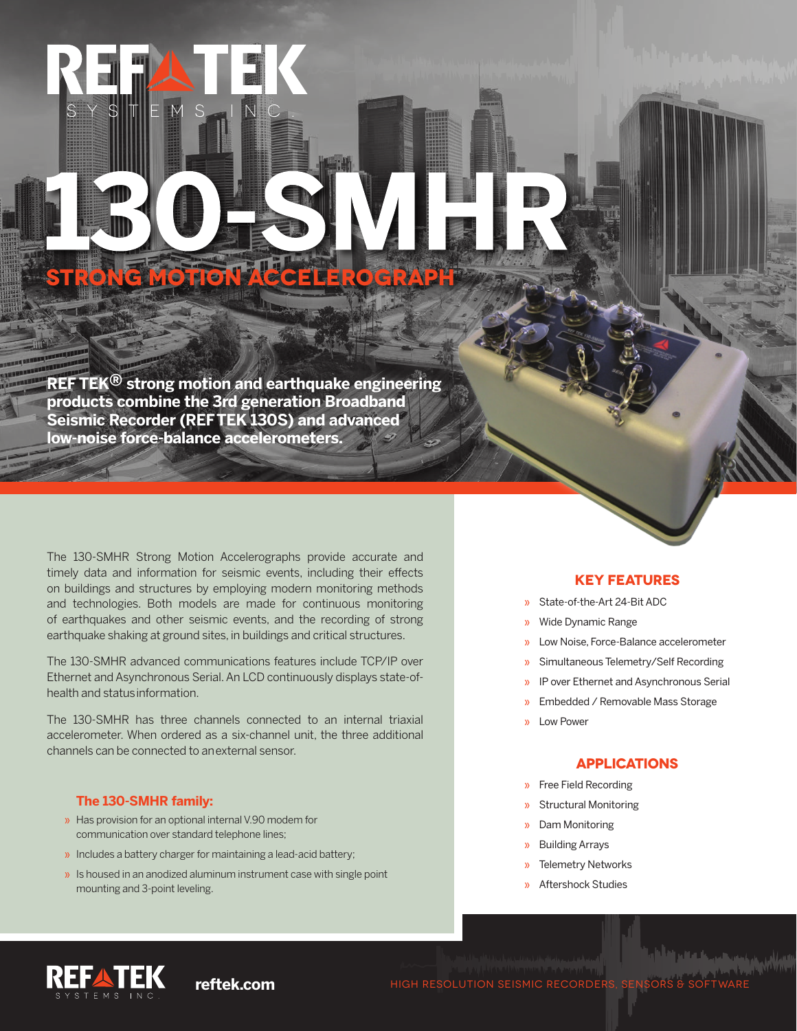## **REF TEK® strong motion and earthquake engineering products combine the 3rd generation Broadband Seismic Recorder (REF TEK 130S) and advanced low-noise force-balance accelerometers.**

**STRONG MOTION ACCELEROGRAPH**

The 130-SMHR Strong Motion Accelerographs provide accurate and timely data and information for seismic events, including their effects on buildings and structures by employing modern monitoring methods and technologies. Both models are made for continuous monitoring of earthquakes and other seismic events, and the recording of strong earthquake shaking at ground sites, in buildings and critical structures.

The 130-SMHR advanced communications features include TCP/IP over Ethernet and Asynchronous Serial. An LCD continuously displays state-ofhealth and status information.

The 130-SMHR has three channels connected to an internal triaxial accelerometer. When ordered as a six-channel unit, the three additional channels can be connected to an external sensor.

## **The 130-SMHR family:**

- » Has provision for an optional internal V.90 modem for communication over standard telephone lines;
- » Includes a battery charger for maintaining a lead-acid battery;
- » Is housed in an anodized aluminum instrument case with single point mounting and 3-point leveling.

## **KEY FEATURES**

- » State-of-the-Art 24-Bit ADC
- » Wide Dynamic Range
- » Low Noise, Force-Balance accelerometer
- » Simultaneous Telemetry/Self Recording
- » IP over Ethernet and Asynchronous Serial
- » Embedded / Removable Mass Storage
- » Low Power

### **APPLICATIONS**

- » Free Field Recording
- » Structural Monitoring
- » Dam Monitoring
- » Building Arrays
- » Telemetry Networks
- » Aftershock Studies



**reftek.com HIGH RESOLUTION SEISMIC RECORDERS, SENSORS**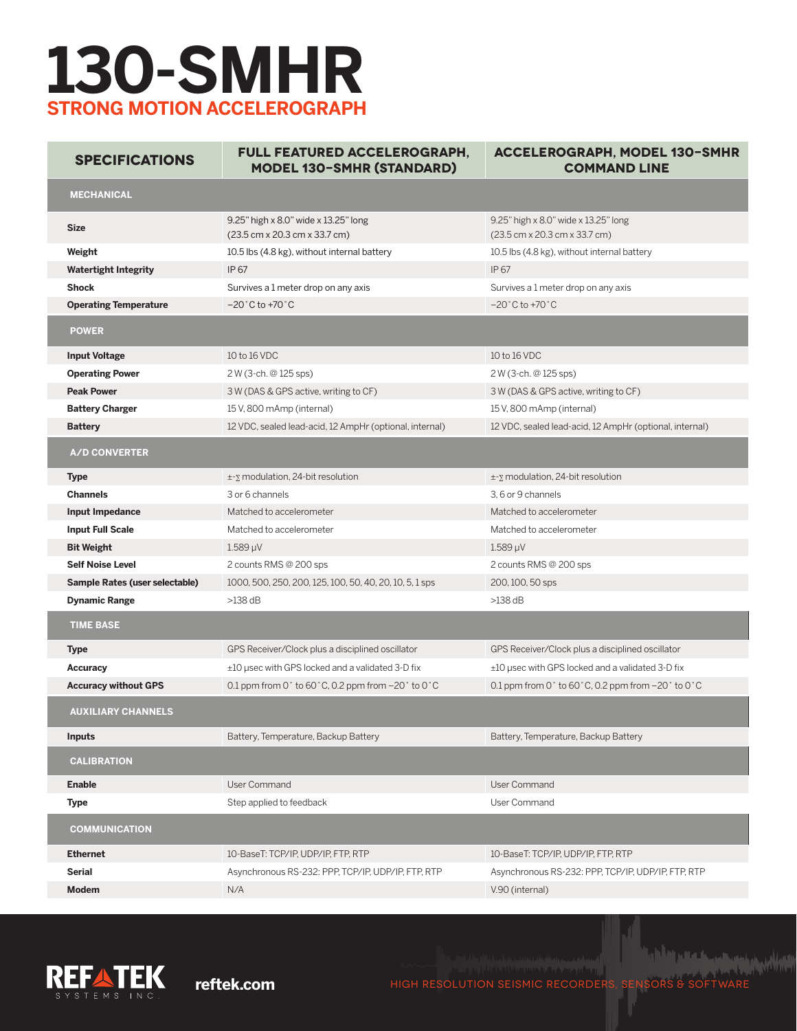# **130-SMHR STRONG MOTION ACCELEROGRAPH**

**Specifications Full Featured Accelerograph, Model 130-SMHR (Standard)**

**Accelerograph, Model 130-SMHR Command Line**

| <b>MECHANICAL</b>              |                                                                                             |                                                                       |
|--------------------------------|---------------------------------------------------------------------------------------------|-----------------------------------------------------------------------|
| <b>Size</b>                    | 9.25" high x 8.0" wide x 13.25" long<br>(23.5 cm x 20.3 cm x 33.7 cm)                       | 9.25" high x 8.0" wide x 13.25" long<br>(23.5 cm x 20.3 cm x 33.7 cm) |
| Weight                         | 10.5 lbs (4.8 kg), without internal battery                                                 | 10.5 lbs (4.8 kg), without internal battery                           |
| <b>Watertight Integrity</b>    | IP 67                                                                                       | IP 67                                                                 |
| <b>Shock</b>                   | Survives a 1 meter drop on any axis                                                         | Survives a 1 meter drop on any axis                                   |
| <b>Operating Temperature</b>   | $-20^\circ$ C to +70 $^\circ$ C                                                             | $-20^{\circ}$ C to +70 $^{\circ}$ C                                   |
| <b>POWER</b>                   |                                                                                             |                                                                       |
| <b>Input Voltage</b>           | 10 to 16 VDC                                                                                | 10 to 16 VDC                                                          |
| <b>Operating Power</b>         | 2 W (3-ch. @ 125 sps)                                                                       | 2 W (3-ch. @ 125 sps)                                                 |
| <b>Peak Power</b>              | 3 W (DAS & GPS active, writing to CF)                                                       | 3 W (DAS & GPS active, writing to CF)                                 |
| <b>Battery Charger</b>         | 15 V, 800 mAmp (internal)                                                                   | 15 V, 800 mAmp (internal)                                             |
| <b>Battery</b>                 | 12 VDC, sealed lead-acid, 12 AmpHr (optional, internal)                                     | 12 VDC, sealed lead-acid, 12 AmpHr (optional, internal)               |
| <b>A/D CONVERTER</b>           |                                                                                             |                                                                       |
| <b>Type</b>                    | ±-y modulation, 24-bit resolution                                                           | ±-y modulation, 24-bit resolution                                     |
| <b>Channels</b>                | 3 or 6 channels                                                                             | 3, 6 or 9 channels                                                    |
| Input Impedance                | Matched to accelerometer                                                                    | Matched to accelerometer                                              |
| <b>Input Full Scale</b>        | Matched to accelerometer                                                                    | Matched to accelerometer                                              |
| <b>Bit Weight</b>              | $1.589 \mu V$                                                                               | $1.589 \mu V$                                                         |
| <b>Self Noise Level</b>        | 2 counts RMS @ 200 sps                                                                      | 2 counts RMS @ 200 sps                                                |
| Sample Rates (user selectable) | 1000, 500, 250, 200, 125, 100, 50, 40, 20, 10, 5, 1 sps                                     | 200, 100, 50 sps                                                      |
| <b>Dynamic Range</b>           | $>138$ dB                                                                                   | $>138$ dB                                                             |
| <b>TIME BASE</b>               |                                                                                             |                                                                       |
| <b>Type</b>                    | GPS Receiver/Clock plus a disciplined oscillator                                            | GPS Receiver/Clock plus a disciplined oscillator                      |
| <b>Accuracy</b>                | ±10 µsec with GPS locked and a validated 3-D fix                                            | $\pm$ 10 µsec with GPS locked and a validated 3-D fix                 |
| <b>Accuracy without GPS</b>    | 0.1 ppm from 0 $^{\circ}$ to 60 $^{\circ}$ C, 0.2 ppm from -20 $^{\circ}$ to 0 $^{\circ}$ C | 0.1 ppm from 0° to 60°C, 0.2 ppm from -20° to 0°C                     |
| <b>AUXILIARY CHANNELS</b>      |                                                                                             |                                                                       |
| <b>Inputs</b>                  | Battery, Temperature, Backup Battery                                                        | Battery, Temperature, Backup Battery                                  |
| <b>CALIBRATION</b>             |                                                                                             |                                                                       |
| <b>Enable</b>                  | User Command                                                                                | User Command                                                          |
| <b>Type</b>                    | Step applied to feedback                                                                    | User Command                                                          |
| <b>COMMUNICATION</b>           |                                                                                             |                                                                       |
| <b>Ethernet</b>                | 10-BaseT: TCP/IP, UDP/IP, FTP, RTP                                                          | 10-BaseT: TCP/IP, UDP/IP, FTP, RTP                                    |
| <b>Serial</b>                  | Asynchronous RS-232: PPP, TCP/IP, UDP/IP, FTP, RTP                                          | Asynchronous RS-232: PPP, TCP/IP, UDP/IP, FTP, RTP                    |
| <b>Modem</b>                   | N/A                                                                                         | V.90 (internal)                                                       |



**Alat Mahalangan M reftek.com HIGH RESOLUTION SEISMIC RECORDERS, SENSORS & SOFTWARE RESOLUTION SEISMIC RECORDERS, SENSORS & SOF**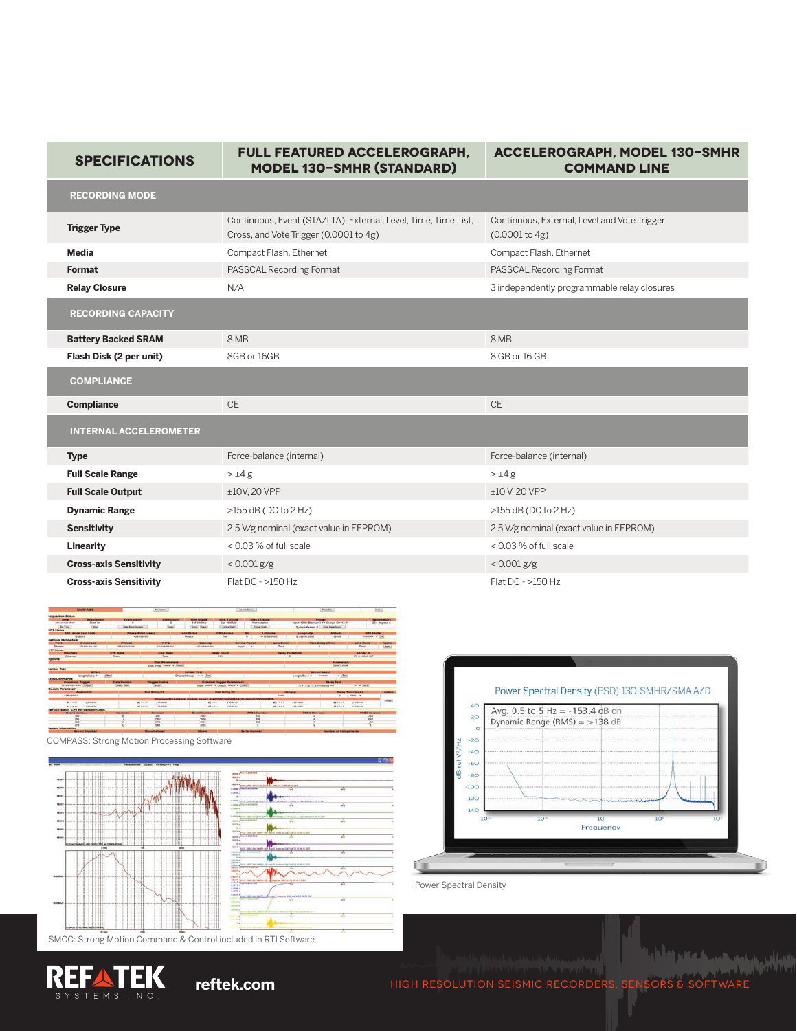| <b>SPECIFICATIONS</b>         | FULL FEATURED ACCELEROGRAPH,<br><b>MODEL 130-SMHR (STANDARD)</b>                                         | <b>ACCELEROGRAPH, MODEL 130-SMHR</b><br><b>COMMAND LINE</b>    |
|-------------------------------|----------------------------------------------------------------------------------------------------------|----------------------------------------------------------------|
| <b>RECORDING MODE</b>         |                                                                                                          |                                                                |
| <b>Trigger Type</b>           | Continuous, Event (STA/LTA), External, Level, Time, Time List,<br>Cross, and Vote Trigger (0.0001 to 4g) | Continuous, External, Level and Vote Trigger<br>(0.0001 to 4g) |
| <b>Media</b>                  | Compact Flash, Ethernet                                                                                  | Compact Flash, Ethernet                                        |
| Format                        | PASSCAL Recording Format                                                                                 | PASSCAL Recording Format                                       |
| <b>Relay Closure</b>          | N/A                                                                                                      | 3 independently programmable relay closures                    |
| <b>RECORDING CAPACITY</b>     |                                                                                                          |                                                                |
| <b>Battery Backed SRAM</b>    | 8 MB                                                                                                     | 8 MB                                                           |
| Flash Disk (2 per unit)       | 8GB or 16GB                                                                                              | 8 GB or 16 GB                                                  |
| <b>COMPLIANCE</b>             |                                                                                                          |                                                                |
| Compliance                    | <b>CE</b>                                                                                                | <b>CE</b>                                                      |
| <b>INTERNAL ACCELEROMETER</b> |                                                                                                          |                                                                |
| <b>Type</b>                   | Force-balance (internal)                                                                                 | Force-balance (internal)                                       |
| <b>Full Scale Range</b>       | $>\pm 4g$                                                                                                | $>\pm 4$ g                                                     |
| <b>Full Scale Output</b>      | ±10V, 20 VPP                                                                                             | $±10$ V, 20 VPP                                                |
| <b>Dynamic Range</b>          | $>155$ dB (DC to 2 Hz)                                                                                   | $>155$ dB (DC to 2 Hz)                                         |
| <b>Sensitivity</b>            | 2.5 V/g nominal (exact value in EEPROM)                                                                  | 2.5 V/g nominal (exact value in EEPROM)                        |
| Linearity                     | < 0.03 % of full scale                                                                                   | < 0.03 % of full scale                                         |
| <b>Cross-axis Sensitivity</b> | $< 0.001$ g/g                                                                                            | $< 0.001$ g/g                                                  |
| <b>Cross-axis Sensitivity</b> | Flat $DC - >150 Hz$                                                                                      | Flat DC - >150 Hz                                              |



COMPASS: Strong Motion Processing Software







Power Spectral Density

Q

**reftek.com** High Resolution Seismic Recorders, Sensors & Software